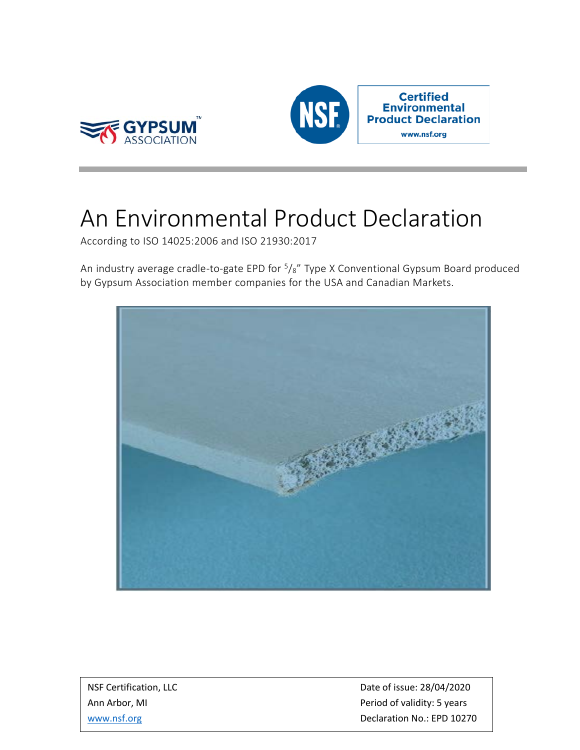



## An Environmental Product Declaration

According to ISO 14025:2006 and ISO 21930:2017

An industry average cradle-to-gate EPD for  $5\frac{1}{8}$ " Type X Conventional Gypsum Board produced by Gypsum Association member companies for the USA and Canadian Markets.



NSF Certification, LLC and the control of issue: 28/04/2020 Ann Arbor, MI **Ann Arbor, MI** Period of validity: 5 years [www.nsf.org](http://www.nsf.org/) **Declaration No.: EPD 10270**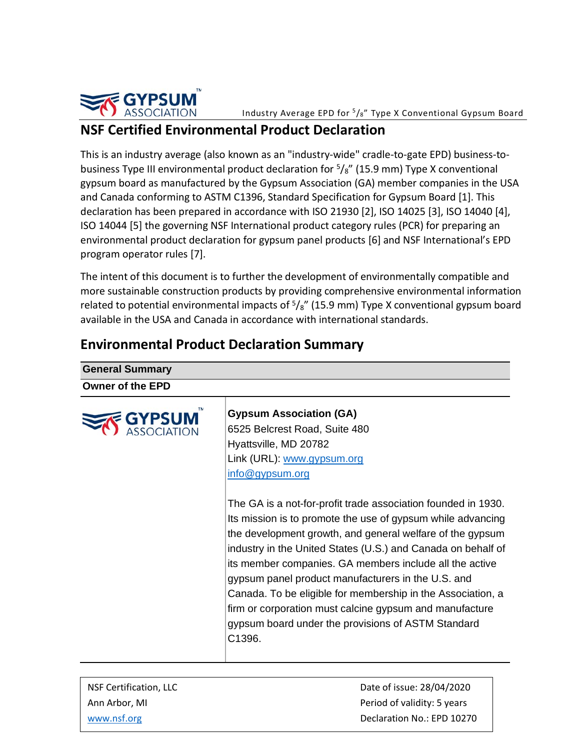

## **NSF Certified Environmental Product Declaration**

This is an industry average (also known as an "industry-wide" cradle-to-gate EPD) business-tobusiness Type III environmental product declaration for  $5\frac{1}{8}$ " (15.9 mm) Type X conventional gypsum board as manufactured by the Gypsum Association (GA) member companies in the USA and Canada conforming to ASTM C1396, Standard Specification for Gypsum Board [1]. This declaration has been prepared in accordance with ISO 21930 [2], ISO 14025 [3], ISO 14040 [4], ISO 14044 [5] the governing NSF International product category rules (PCR) for preparing an environmental product declaration for gypsum panel products [6] and NSF International's EPD program operator rules [7].

The intent of this document is to further the development of environmentally compatible and more sustainable construction products by providing comprehensive environmental information related to potential environmental impacts of  $\frac{5}{8}$ " (15.9 mm) Type X conventional gypsum board available in the USA and Canada in accordance with international standards.

| <b>General Summary</b>  |                                                                                                                                                                                                                                                                                                                                                                                                                                                                                                                                                                      |
|-------------------------|----------------------------------------------------------------------------------------------------------------------------------------------------------------------------------------------------------------------------------------------------------------------------------------------------------------------------------------------------------------------------------------------------------------------------------------------------------------------------------------------------------------------------------------------------------------------|
| <b>Owner of the EPD</b> |                                                                                                                                                                                                                                                                                                                                                                                                                                                                                                                                                                      |
|                         | <b>Gypsum Association (GA)</b><br>6525 Belcrest Road, Suite 480<br>Hyattsville, MD 20782<br>Link (URL): www.gypsum.org<br>info@gypsum.org                                                                                                                                                                                                                                                                                                                                                                                                                            |
|                         | The GA is a not-for-profit trade association founded in 1930.<br>Its mission is to promote the use of gypsum while advancing<br>the development growth, and general welfare of the gypsum<br>industry in the United States (U.S.) and Canada on behalf of<br>its member companies. GA members include all the active<br>gypsum panel product manufacturers in the U.S. and<br>Canada. To be eligible for membership in the Association, a<br>firm or corporation must calcine gypsum and manufacture<br>gypsum board under the provisions of ASTM Standard<br>C1396. |
|                         |                                                                                                                                                                                                                                                                                                                                                                                                                                                                                                                                                                      |

## **Environmental Product Declaration Summary**

NSF Certification, LLC and the control of the Date of issue: 28/04/2020 Ann Arbor, MI **Period of validity: 5 years** [www.nsf.org](http://www.nsf.org/) **Declaration No.: EPD 10270**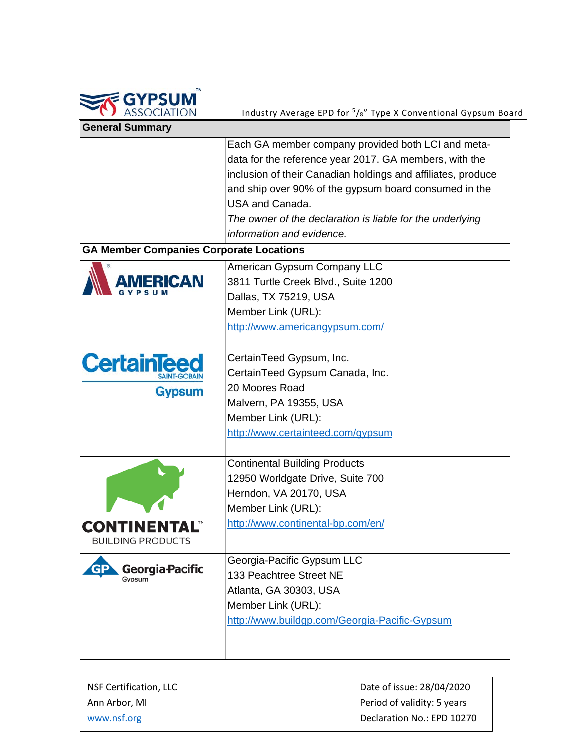

| <b>General Summary</b>                         |                                                              |
|------------------------------------------------|--------------------------------------------------------------|
|                                                | Each GA member company provided both LCI and meta-           |
|                                                | data for the reference year 2017. GA members, with the       |
|                                                | inclusion of their Canadian holdings and affiliates, produce |
|                                                | and ship over 90% of the gypsum board consumed in the        |
|                                                | USA and Canada.                                              |
|                                                | The owner of the declaration is liable for the underlying    |
|                                                | information and evidence.                                    |
| <b>GA Member Companies Corporate Locations</b> |                                                              |
|                                                |                                                              |
| <b>RICAN</b>                                   | American Gypsum Company LLC                                  |
|                                                | 3811 Turtle Creek Blvd., Suite 1200                          |
|                                                | Dallas, TX 75219, USA                                        |
|                                                | Member Link (URL):                                           |
|                                                | http://www.americangypsum.com/                               |
|                                                |                                                              |
| <b>CertainTeed</b>                             | CertainTeed Gypsum, Inc.                                     |
|                                                | CertainTeed Gypsum Canada, Inc.                              |
| <b>Gypsum</b>                                  | 20 Moores Road                                               |
|                                                | Malvern, PA 19355, USA                                       |
|                                                | Member Link (URL):                                           |
|                                                | http://www.certainteed.com/gypsum                            |
|                                                | <b>Continental Building Products</b>                         |
|                                                | 12950 Worldgate Drive, Suite 700                             |
|                                                | Herndon, VA 20170, USA                                       |
|                                                | Member Link (URL):                                           |
| <b>CONTINEN</b>                                | http://www.continental-bp.com/en/                            |
| <b>BUILDING PRODUCTS</b>                       |                                                              |
|                                                | Georgia-Pacific Gypsum LLC                                   |
| <b>Georgia-Pacific</b><br>Gypsum               | 133 Peachtree Street NE                                      |
|                                                | Atlanta, GA 30303, USA                                       |
|                                                | Member Link (URL):                                           |
|                                                | http://www.buildgp.com/Georgia-Pacific-Gypsum                |
|                                                |                                                              |
|                                                |                                                              |
|                                                |                                                              |

NSF Certification, LLC and the Date of issue: 28/04/2020 Ann Arbor, MI **Ann Arbor, MI** Period of validity: 5 years [www.nsf.org](http://www.nsf.org/) button and the control of the Declaration No.: EPD 10270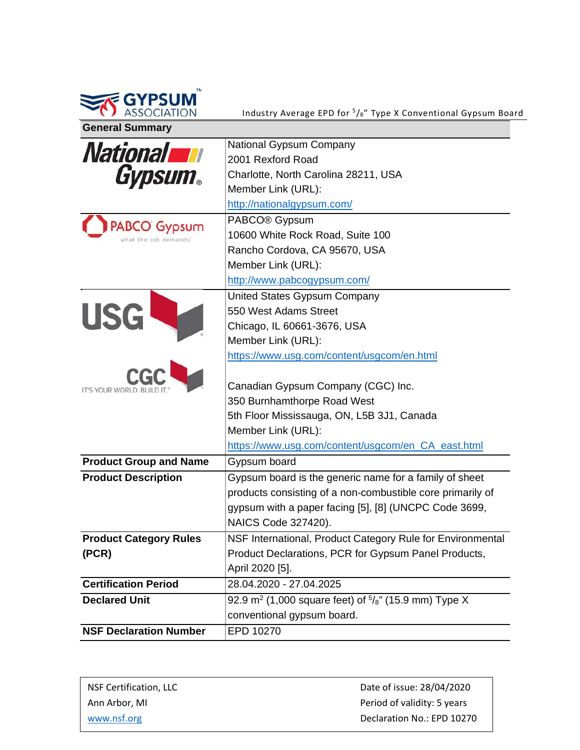| <b>General Summary</b>                       | Industry Average EPD for <sup>5</sup> / <sub>8</sub> " Type X Conventional Gypsum Board                                                                                                              |
|----------------------------------------------|------------------------------------------------------------------------------------------------------------------------------------------------------------------------------------------------------|
| <b>National TH</b><br><b>Gypsum.</b>         | <b>National Gypsum Company</b><br>2001 Rexford Road<br>Charlotte, North Carolina 28211, USA<br>Member Link (URL):<br>http://nationalgypsum.com/                                                      |
| <b>PABCO</b> Gypsum<br>what the job demands' | PABCO <sup>®</sup> Gypsum<br>10600 White Rock Road, Suite 100<br>Rancho Cordova, CA 95670, USA<br>Member Link (URL):<br>http://www.pabcogypsum.com/                                                  |
| <b>USG</b>                                   | United States Gypsum Company<br>550 West Adams Street<br>Chicago, IL 60661-3676, USA<br>Member Link (URL):<br>https://www.usg.com/content/usgcom/en.html                                             |
| IT'S YOUR WORLD, BUILD IT                    | Canadian Gypsum Company (CGC) Inc.<br>350 Burnhamthorpe Road West<br>5th Floor Mississauga, ON, L5B 3J1, Canada<br>Member Link (URL):                                                                |
| <b>Product Group and Name</b>                | https://www.usg.com/content/usgcom/en CA east.html<br>Gypsum board                                                                                                                                   |
| <b>Product Description</b>                   | Gypsum board is the generic name for a family of sheet<br>products consisting of a non-combustible core primarily of<br>gypsum with a paper facing [5], [8] (UNCPC Code 3699,<br>NAICS Code 327420). |
| <b>Product Category Rules</b><br>(PCR)       | NSF International, Product Category Rule for Environmental<br>Product Declarations, PCR for Gypsum Panel Products,<br>April 2020 [5].                                                                |
| <b>Certification Period</b>                  | 28.04.2020 - 27.04.2025                                                                                                                                                                              |
| <b>Declared Unit</b>                         | 92.9 m <sup>2</sup> (1,000 square feet) of $\frac{5}{8}$ " (15.9 mm) Type X<br>conventional gypsum board.                                                                                            |
| <b>NSF Declaration Number</b>                | EPD 10270                                                                                                                                                                                            |

| NSF Certification, LLC | Date of issue: 28/04/2020   |
|------------------------|-----------------------------|
| Ann Arbor. MI          | Period of validity: 5 years |
| www.nsf.org            | Declaration No.: EPD 10270  |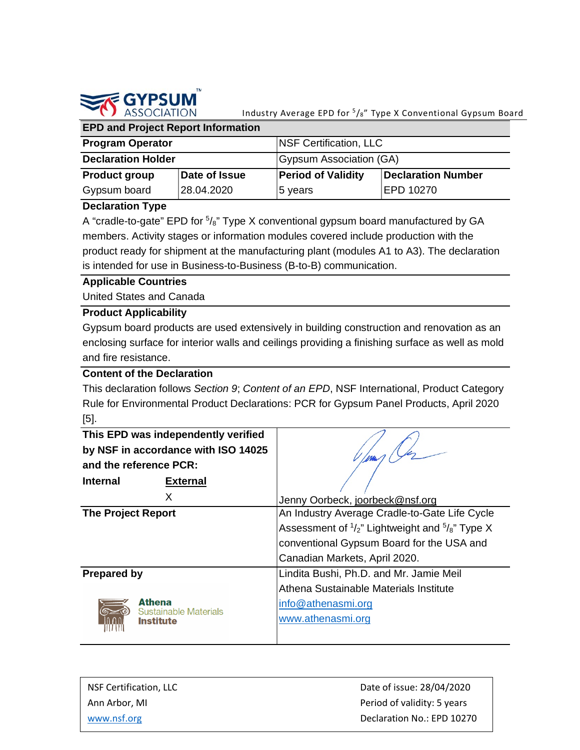

#### **EPD and Project Report Information Program Operator** NSF Certification, LLC **Declaration Holder** Gypsum Association (GA) **Product group** Gypsum board **Date of Issue**  28.04.2020 **Period of Validity** 5 years **Declaration Number**  EPD 10270

#### **Declaration Type**

A "cradle-to-gate" EPD for  $\frac{5}{8}$ " Type X conventional gypsum board manufactured by GA members. Activity stages or information modules covered include production with the product ready for shipment at the manufacturing plant (modules A1 to A3). The declaration is intended for use in Business-to-Business (B-to-B) communication.

#### **Applicable Countries**

United States and Canada

#### **Product Applicability**

Gypsum board products are used extensively in building construction and renovation as an enclosing surface for interior walls and ceilings providing a finishing surface as well as mold and fire resistance.

#### **Content of the Declaration**

This declaration follows *Section 9*; *Content of an EPD*, NSF International, Product Category Rule for Environmental Product Declarations: PCR for Gypsum Panel Products, April 2020 [5].

| This EPD was independently verified |                                                                      |
|-------------------------------------|----------------------------------------------------------------------|
| by NSF in accordance with ISO 14025 |                                                                      |
| and the reference PCR:              |                                                                      |
| <b>Internal</b><br><b>External</b>  |                                                                      |
| X                                   | Jenny Oorbeck, joorbeck@nsf.org                                      |
| <b>The Project Report</b>           | An Industry Average Cradle-to-Gate Life Cycle                        |
|                                     | Assessment of $\frac{1}{2}$ " Lightweight and $\frac{5}{8}$ " Type X |
|                                     | conventional Gypsum Board for the USA and                            |
|                                     | Canadian Markets, April 2020.                                        |
| <b>Prepared by</b>                  | Lindita Bushi, Ph.D. and Mr. Jamie Meil                              |
|                                     | Athena Sustainable Materials Institute                               |
| <b>Athena</b>                       | info@athenasmi.org                                                   |
| Sustainable Materials<br>Institute  | www.athenasmi.org                                                    |

| NSF Certification, LLC | Date of issue: 28/04/2020   |
|------------------------|-----------------------------|
| Ann Arbor. MI          | Period of validity: 5 years |
| www.nsf.org            | Declaration No.: EPD 10270  |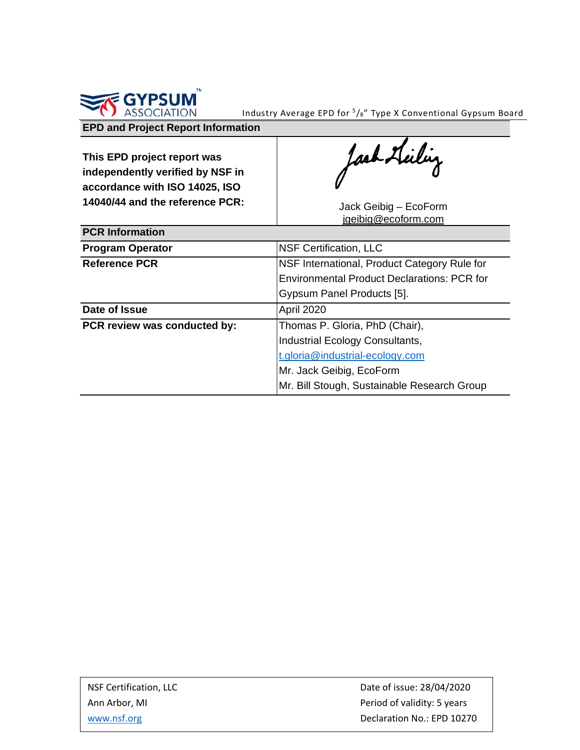

### **EPD and Project Report Information**

**This EPD project report was independently verified by NSF in accordance with ISO 14025, ISO 14040/44 and the reference PCR:** Jack Geibig – EcoForm

Jack Heilig

[jgeibig@ecoform.com](mailto:jgeibig@ecoform.com)

| <b>PCR Information</b>       |                                              |
|------------------------------|----------------------------------------------|
| <b>Program Operator</b>      | <b>NSF Certification, LLC</b>                |
| <b>Reference PCR</b>         | NSF International, Product Category Rule for |
|                              | Environmental Product Declarations: PCR for  |
|                              | Gypsum Panel Products [5].                   |
| Date of Issue                | April 2020                                   |
| PCR review was conducted by: | Thomas P. Gloria, PhD (Chair),               |
|                              | Industrial Ecology Consultants,              |
|                              | t.gloria@industrial-ecology.com              |
|                              | Mr. Jack Geibig, EcoForm                     |
|                              | Mr. Bill Stough, Sustainable Research Group  |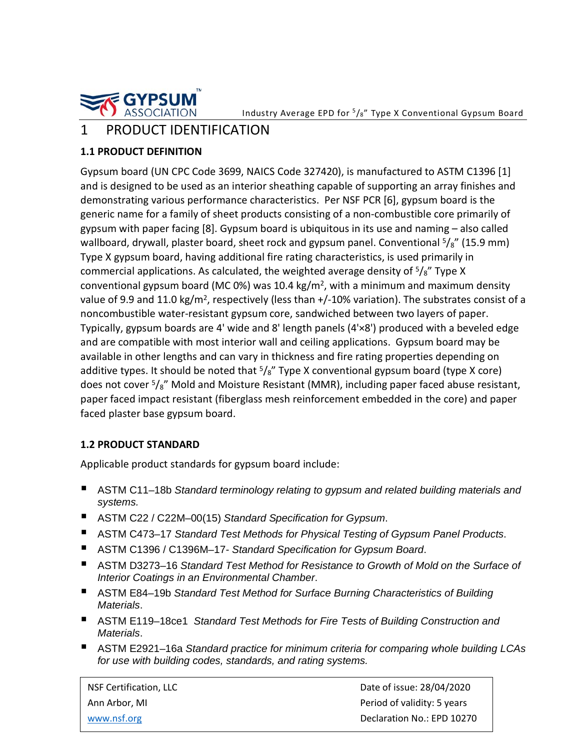

## 1 PRODUCT IDENTIFICATION

#### **1.1 PRODUCT DEFINITION**

Gypsum board (UN CPC Code 3699, NAICS Code 327420), is manufactured to ASTM C1396 [1] and is designed to be used as an interior sheathing capable of supporting an array finishes and demonstrating various performance characteristics. Per NSF PCR [6], gypsum board is the generic name for a family of sheet products consisting of a non-combustible core primarily of gypsum with paper facing [8]. Gypsum board is ubiquitous in its use and naming – also called wallboard, drywall, plaster board, sheet rock and gypsum panel. Conventional  $5\frac{1}{8}$ " (15.9 mm) Type X gypsum board, having additional fire rating characteristics, is used primarily in commercial applications. As calculated, the weighted average density of  $5/8$ " Type X conventional gypsum board (MC 0%) was 10.4 kg/m<sup>2</sup>, with a minimum and maximum density value of 9.9 and 11.0 kg/m<sup>2</sup>, respectively (less than  $+/-10\%$  variation). The substrates consist of a noncombustible water-resistant gypsum core, sandwiched between two layers of paper. Typically, gypsum boards are 4' wide and 8' length panels (4'×8') produced with a beveled edge and are compatible with most interior wall and ceiling applications. Gypsum board may be available in other lengths and can vary in thickness and fire rating properties depending on additive types. It should be noted that  $5\frac{1}{8}$ " Type X conventional gypsum board (type X core) does not cover  $5\frac{1}{8}$ " Mold and Moisture Resistant (MMR), including paper faced abuse resistant, paper faced impact resistant (fiberglass mesh reinforcement embedded in the core) and paper faced plaster base gypsum board.

#### **1.2 PRODUCT STANDARD**

Applicable product standards for gypsum board include:

- ASTM C11–18b *Standard terminology relating to gypsum and related building materials and systems.*
- ASTM C22 / C22M–00(15) *Standard Specification for Gypsum.*
- ASTM C473-17 *Standard Test Methods for Physical Testing of Gypsum Panel Products.*
- ASTM C1396 / C1396M-17- *Standard Specification for Gypsum Board*.
- ASTM D3273–16 *Standard Test Method for Resistance to Growth of Mold on the Surface of Interior Coatings in an Environmental Chamber*.
- ASTM E84-19b *Standard Test Method for Surface Burning Characteristics of Building Materials*.
- ASTM E119–18ce1 *Standard Test Methods for Fire Tests of Building Construction and Materials*.
- ASTM E2921–16a *Standard practice for minimum criteria for comparing whole building LCAs for use with building codes, standards, and rating systems.*

NSF Certification, LLC and the control of issue: 28/04/2020 Ann Arbor, MI **Period of validity: 5 years** [www.nsf.org](http://www.nsf.org/) **Declaration No.: EPD 10270**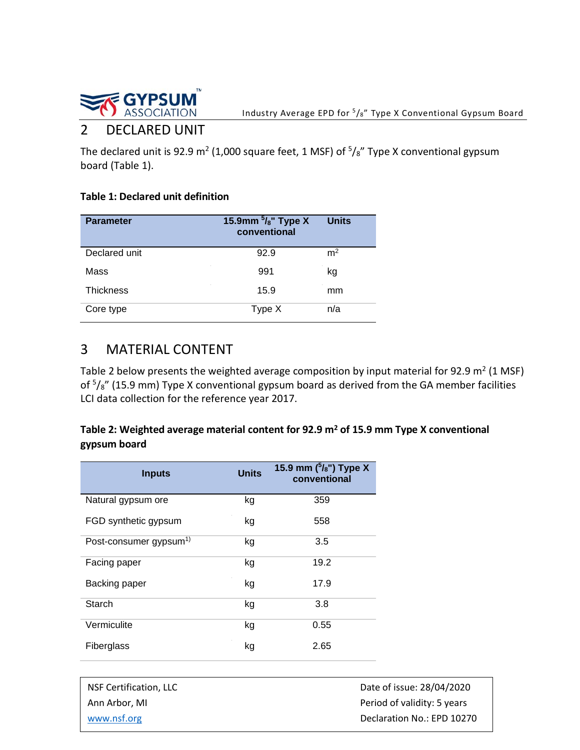

## 2 DECLARED UNIT

The declared unit is 92.9 m<sup>2</sup> (1,000 square feet, 1 MSF) of  $5\frac{1}{8}$  Type X conventional gypsum board (Table 1).

#### **Table 1: Declared unit definition**

| <b>Parameter</b> | 15.9mm $\frac{5}{8}$ " Type X<br>conventional | <b>Units</b>   |
|------------------|-----------------------------------------------|----------------|
| Declared unit    | 92.9                                          | m <sup>2</sup> |
| Mass             | 991                                           | kg             |
| <b>Thickness</b> | 15.9                                          | mm             |
| Core type        | Type X                                        | n/a            |

## 3 MATERIAL CONTENT

Table 2 below presents the weighted average composition by input material for 92.9  $m^2$  (1 MSF) of  $5\frac{1}{8}$ " (15.9 mm) Type X conventional gypsum board as derived from the GA member facilities LCI data collection for the reference year 2017.

#### Table 2: Weighted average material content for 92.9 m<sup>2</sup> of 15.9 mm Type X conventional **gypsum board**

| <b>Inputs</b>                      | <b>Units</b> | 15.9 mm $(^{5}/_{8}$ ") Type X<br>conventional |
|------------------------------------|--------------|------------------------------------------------|
| Natural gypsum ore                 | kg           | 359                                            |
| FGD synthetic gypsum               | kg           | 558                                            |
| Post-consumer gypsum <sup>1)</sup> | kg           | 3.5                                            |
| Facing paper                       | kg           | 19.2                                           |
| Backing paper                      | kg           | 17.9                                           |
| Starch                             | kg           | 3.8                                            |
| Vermiculite                        | kg           | 0.55                                           |
| Fiberglass                         | kg           | 2.65                                           |

| NSF Certification, LLC | Date of issue: 28/04/2020   |
|------------------------|-----------------------------|
| Ann Arbor, MI          | Period of validity: 5 years |
| www.nsf.org            | Declaration No.: EPD 10270  |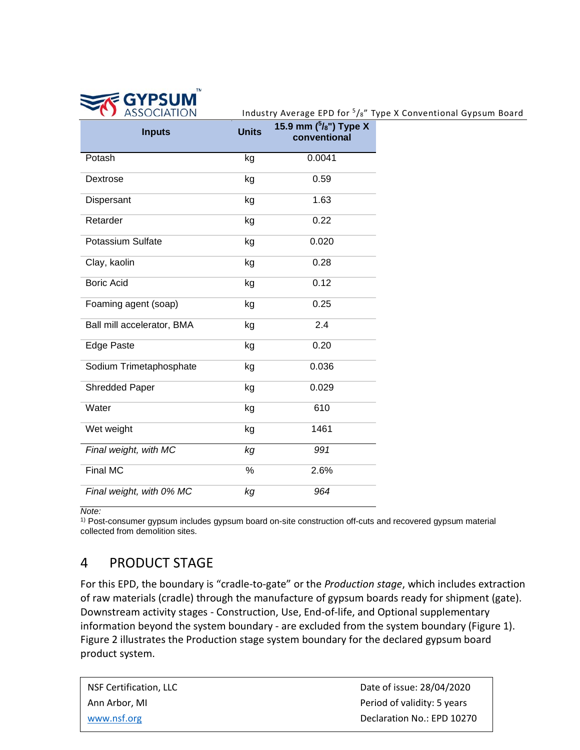

#### Industry Average EPD for  $5\frac{1}{8}$ " Type X Conventional Gypsum Board

| <b>Inputs</b>              | <b>Units</b> | 15.9 mm $({}^{5}/_{8}$ ") Type X<br>conventional |
|----------------------------|--------------|--------------------------------------------------|
| Potash                     | kg           | 0.0041                                           |
| Dextrose                   | kg           | 0.59                                             |
| Dispersant                 | kg           | 1.63                                             |
| Retarder                   | kg           | 0.22                                             |
| <b>Potassium Sulfate</b>   | kg           | 0.020                                            |
| Clay, kaolin               | kg           | 0.28                                             |
| <b>Boric Acid</b>          | kg           | 0.12                                             |
| Foaming agent (soap)       | kg           | 0.25                                             |
| Ball mill accelerator, BMA | kg           | 2.4                                              |
| <b>Edge Paste</b>          | kg           | 0.20                                             |
| Sodium Trimetaphosphate    | kg           | 0.036                                            |
| <b>Shredded Paper</b>      | kg           | 0.029                                            |
| Water                      | kg           | 610                                              |
| Wet weight                 | kg           | 1461                                             |
| Final weight, with MC      | kg           | 991                                              |
| <b>Final MC</b>            | %            | 2.6%                                             |
| Final weight, with 0% MC   | kg           | 964                                              |

*Note:* 

1) Post-consumer gypsum includes gypsum board on-site construction off-cuts and recovered gypsum material collected from demolition sites.

## 4 PRODUCT STAGE

For this EPD, the boundary is "cradle-to-gate" or the *Production stage*, which includes extraction of raw materials (cradle) through the manufacture of gypsum boards ready for shipment (gate). Downstream activity stages - Construction, Use, End-of-life, and Optional supplementary information beyond the system boundary - are excluded from the system boundary (Figure 1). Figure 2 illustrates the Production stage system boundary for the declared gypsum board product system.

| NSF Certification, LLC | Date of issue: 28/04/2020   |
|------------------------|-----------------------------|
| Ann Arbor, MI          | Period of validity: 5 years |
| www.nsf.org            | Declaration No.: EPD 10270  |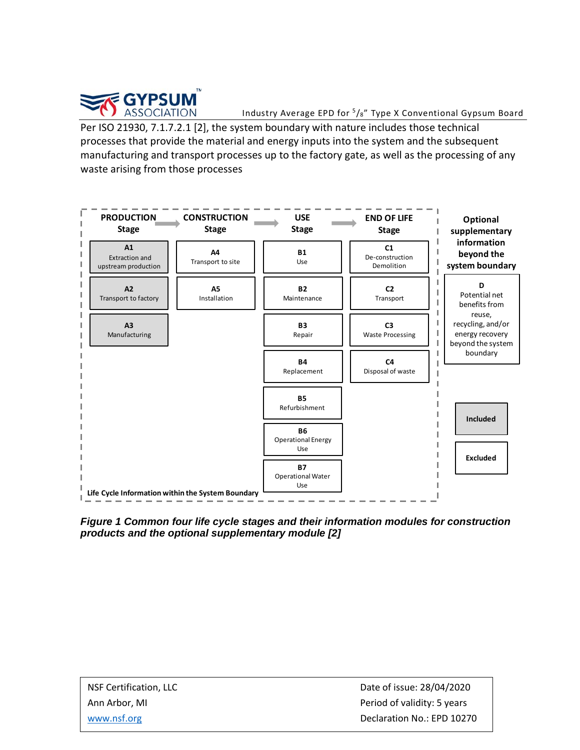

Industry Average EPD for  $5/s''$  Type X Conventional Gypsum Board

Per ISO 21930, 7.1.7.2.1 [2], the system boundary with nature includes those technical processes that provide the material and energy inputs into the system and the subsequent manufacturing and transport processes up to the factory gate, as well as the processing of any waste arising from those processes



*Figure 1 Common four life cycle stages and their information modules for construction products and the optional supplementary module [2]*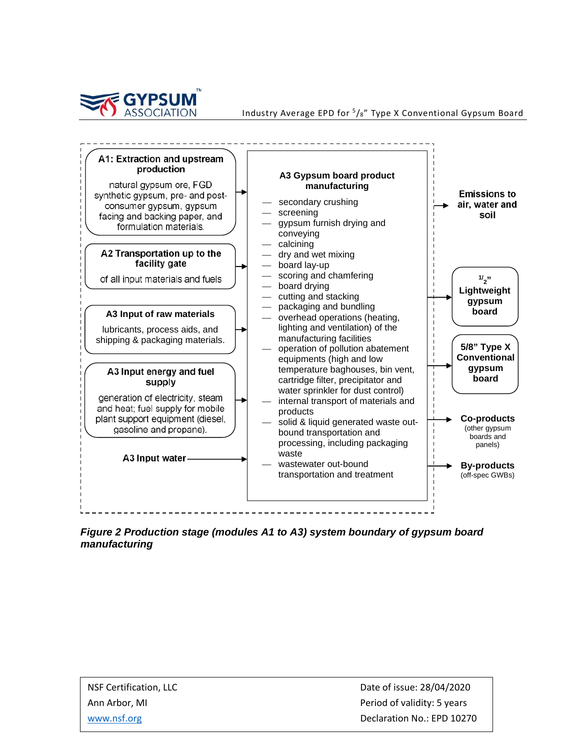



*Figure 2 Production stage (modules A1 to A3) system boundary of gypsum board manufacturing*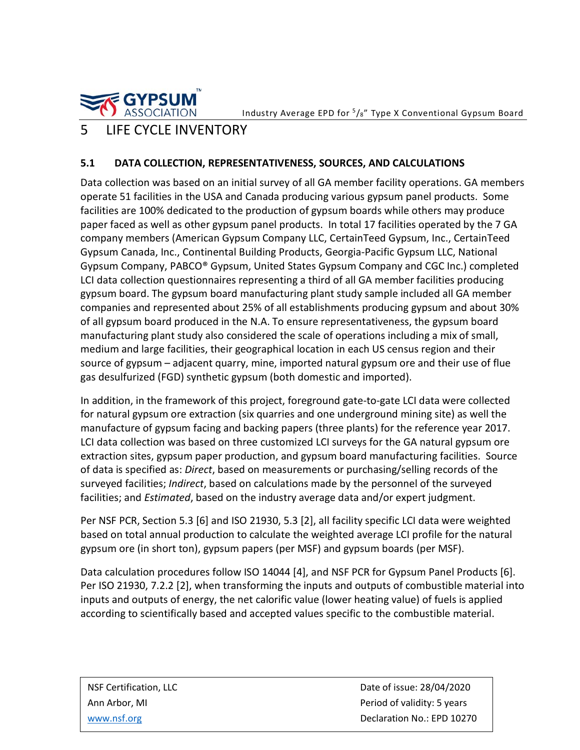**GYPSUM** 

Industry Average EPD for  $\frac{5}{8}$ " Type X Conventional Gypsum Board

## 5 LIFE CYCLE INVENTORY

#### **5.1 DATA COLLECTION, REPRESENTATIVENESS, SOURCES, AND CALCULATIONS**

Data collection was based on an initial survey of all GA member facility operations. GA members operate 51 facilities in the USA and Canada producing various gypsum panel products. Some facilities are 100% dedicated to the production of gypsum boards while others may produce paper faced as well as other gypsum panel products. In total 17 facilities operated by the 7 GA company members (American Gypsum Company LLC, CertainTeed Gypsum, Inc., CertainTeed Gypsum Canada, Inc., Continental Building Products, Georgia-Pacific Gypsum LLC, National Gypsum Company, PABCO® Gypsum, United States Gypsum Company and CGC Inc.) completed LCI data collection questionnaires representing a third of all GA member facilities producing gypsum board. The gypsum board manufacturing plant study sample included all GA member companies and represented about 25% of all establishments producing gypsum and about 30% of all gypsum board produced in the N.A. To ensure representativeness, the gypsum board manufacturing plant study also considered the scale of operations including a mix of small, medium and large facilities, their geographical location in each US census region and their source of gypsum – adjacent quarry, mine, imported natural gypsum ore and their use of flue gas desulfurized (FGD) synthetic gypsum (both domestic and imported).

In addition, in the framework of this project, foreground gate-to-gate LCI data were collected for natural gypsum ore extraction (six quarries and one underground mining site) as well the manufacture of gypsum facing and backing papers (three plants) for the reference year 2017. LCI data collection was based on three customized LCI surveys for the GA natural gypsum ore extraction sites, gypsum paper production, and gypsum board manufacturing facilities. Source of data is specified as: *Direct*, based on measurements or purchasing/selling records of the surveyed facilities; *Indirect*, based on calculations made by the personnel of the surveyed facilities; and *Estimated*, based on the industry average data and/or expert judgment.

Per NSF PCR, Section 5.3 [6] and ISO 21930, 5.3 [2], all facility specific LCI data were weighted based on total annual production to calculate the weighted average LCI profile for the natural gypsum ore (in short ton), gypsum papers (per MSF) and gypsum boards (per MSF).

Data calculation procedures follow ISO 14044 [4], and NSF PCR for Gypsum Panel Products [6]. Per ISO 21930, 7.2.2 [2], when transforming the inputs and outputs of combustible material into inputs and outputs of energy, the net calorific value (lower heating value) of fuels is applied according to scientifically based and accepted values specific to the combustible material.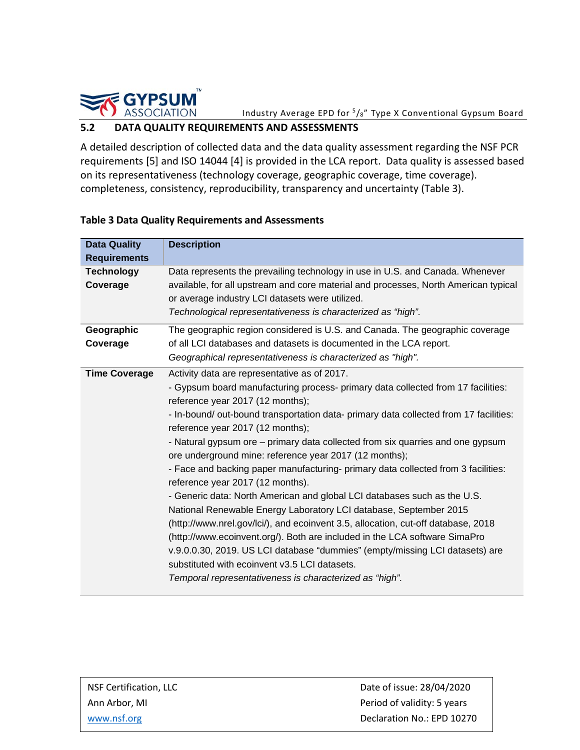

#### **5.2 DATA QUALITY REQUIREMENTS AND ASSESSMENTS**

A detailed description of collected data and the data quality assessment regarding the NSF PCR requirements [5] and ISO 14044 [4] is provided in the LCA report. Data quality is assessed based on its representativeness (technology coverage, geographic coverage, time coverage). completeness, consistency, reproducibility, transparency and uncertainty (Table 3).

| <b>Data Quality</b>           | <b>Description</b>                                                                                                                                                                                                                                                                                                                                                                                                                                                                                                                                                                                                                                                                                                                                                                                                                                                                                                                                                                                                                                                                     |  |  |  |
|-------------------------------|----------------------------------------------------------------------------------------------------------------------------------------------------------------------------------------------------------------------------------------------------------------------------------------------------------------------------------------------------------------------------------------------------------------------------------------------------------------------------------------------------------------------------------------------------------------------------------------------------------------------------------------------------------------------------------------------------------------------------------------------------------------------------------------------------------------------------------------------------------------------------------------------------------------------------------------------------------------------------------------------------------------------------------------------------------------------------------------|--|--|--|
| <b>Requirements</b>           |                                                                                                                                                                                                                                                                                                                                                                                                                                                                                                                                                                                                                                                                                                                                                                                                                                                                                                                                                                                                                                                                                        |  |  |  |
| <b>Technology</b><br>Coverage | Data represents the prevailing technology in use in U.S. and Canada. Whenever<br>available, for all upstream and core material and processes, North American typical<br>or average industry LCI datasets were utilized.<br>Technological representativeness is characterized as "high".                                                                                                                                                                                                                                                                                                                                                                                                                                                                                                                                                                                                                                                                                                                                                                                                |  |  |  |
| Geographic                    | The geographic region considered is U.S. and Canada. The geographic coverage                                                                                                                                                                                                                                                                                                                                                                                                                                                                                                                                                                                                                                                                                                                                                                                                                                                                                                                                                                                                           |  |  |  |
| Coverage                      | of all LCI databases and datasets is documented in the LCA report.<br>Geographical representativeness is characterized as "high".                                                                                                                                                                                                                                                                                                                                                                                                                                                                                                                                                                                                                                                                                                                                                                                                                                                                                                                                                      |  |  |  |
| <b>Time Coverage</b>          | Activity data are representative as of 2017.<br>- Gypsum board manufacturing process- primary data collected from 17 facilities:<br>reference year 2017 (12 months);<br>- In-bound/ out-bound transportation data- primary data collected from 17 facilities:<br>reference year 2017 (12 months);<br>- Natural gypsum ore – primary data collected from six quarries and one gypsum<br>ore underground mine: reference year 2017 (12 months);<br>- Face and backing paper manufacturing- primary data collected from 3 facilities:<br>reference year 2017 (12 months).<br>- Generic data: North American and global LCI databases such as the U.S.<br>National Renewable Energy Laboratory LCI database, September 2015<br>(http://www.nrel.gov/lci/), and ecoinvent 3.5, allocation, cut-off database, 2018<br>(http://www.ecoinvent.org/). Both are included in the LCA software SimaPro<br>v.9.0.0.30, 2019. US LCI database "dummies" (empty/missing LCI datasets) are<br>substituted with ecoinvent v3.5 LCI datasets.<br>Temporal representativeness is characterized as "high". |  |  |  |

#### **Table 3 Data Quality Requirements and Assessments**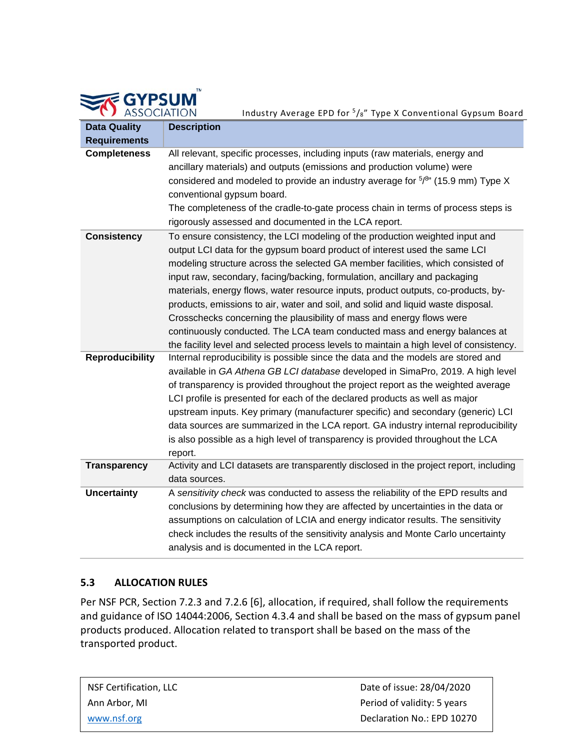| <b>STE GYPSUM</b> |
|-------------------|
|                   |
| ASSOCIATION       |

Industry Average EPD for 5/8" Type X Conventional Gypsum Board

| <b>Data Quality</b>    | <b>Description</b>                                                                                                                                                                                                                                                                                                                                                                                                                                                                                                                                                                                                                                                                                                                                     |  |  |  |
|------------------------|--------------------------------------------------------------------------------------------------------------------------------------------------------------------------------------------------------------------------------------------------------------------------------------------------------------------------------------------------------------------------------------------------------------------------------------------------------------------------------------------------------------------------------------------------------------------------------------------------------------------------------------------------------------------------------------------------------------------------------------------------------|--|--|--|
| <b>Requirements</b>    |                                                                                                                                                                                                                                                                                                                                                                                                                                                                                                                                                                                                                                                                                                                                                        |  |  |  |
| <b>Completeness</b>    | All relevant, specific processes, including inputs (raw materials, energy and<br>ancillary materials) and outputs (emissions and production volume) were<br>considered and modeled to provide an industry average for $5/8$ " (15.9 mm) Type X<br>conventional gypsum board.<br>The completeness of the cradle-to-gate process chain in terms of process steps is<br>rigorously assessed and documented in the LCA report.                                                                                                                                                                                                                                                                                                                             |  |  |  |
| <b>Consistency</b>     | To ensure consistency, the LCI modeling of the production weighted input and<br>output LCI data for the gypsum board product of interest used the same LCI<br>modeling structure across the selected GA member facilities, which consisted of<br>input raw, secondary, facing/backing, formulation, ancillary and packaging<br>materials, energy flows, water resource inputs, product outputs, co-products, by-<br>products, emissions to air, water and soil, and solid and liquid waste disposal.<br>Crosschecks concerning the plausibility of mass and energy flows were<br>continuously conducted. The LCA team conducted mass and energy balances at<br>the facility level and selected process levels to maintain a high level of consistency. |  |  |  |
| <b>Reproducibility</b> | Internal reproducibility is possible since the data and the models are stored and<br>available in GA Athena GB LCI database developed in SimaPro, 2019. A high level<br>of transparency is provided throughout the project report as the weighted average<br>LCI profile is presented for each of the declared products as well as major<br>upstream inputs. Key primary (manufacturer specific) and secondary (generic) LCI<br>data sources are summarized in the LCA report. GA industry internal reproducibility<br>is also possible as a high level of transparency is provided throughout the LCA<br>report.                                                                                                                                      |  |  |  |
| <b>Transparency</b>    | Activity and LCI datasets are transparently disclosed in the project report, including<br>data sources.                                                                                                                                                                                                                                                                                                                                                                                                                                                                                                                                                                                                                                                |  |  |  |
| <b>Uncertainty</b>     | A sensitivity check was conducted to assess the reliability of the EPD results and<br>conclusions by determining how they are affected by uncertainties in the data or<br>assumptions on calculation of LCIA and energy indicator results. The sensitivity<br>check includes the results of the sensitivity analysis and Monte Carlo uncertainty<br>analysis and is documented in the LCA report.                                                                                                                                                                                                                                                                                                                                                      |  |  |  |

#### **5.3 ALLOCATION RULES**

Per NSF PCR, Section 7.2.3 and 7.2.6 [6], allocation, if required, shall follow the requirements and guidance of ISO 14044:2006, Section 4.3.4 and shall be based on the mass of gypsum panel products produced. Allocation related to transport shall be based on the mass of the transported product.

| NSF Certification, LLC | Date of issue: 28/04/2020   |
|------------------------|-----------------------------|
| Ann Arbor. MI          | Period of validity: 5 years |
| www.nsf.org            | Declaration No.: EPD 10270  |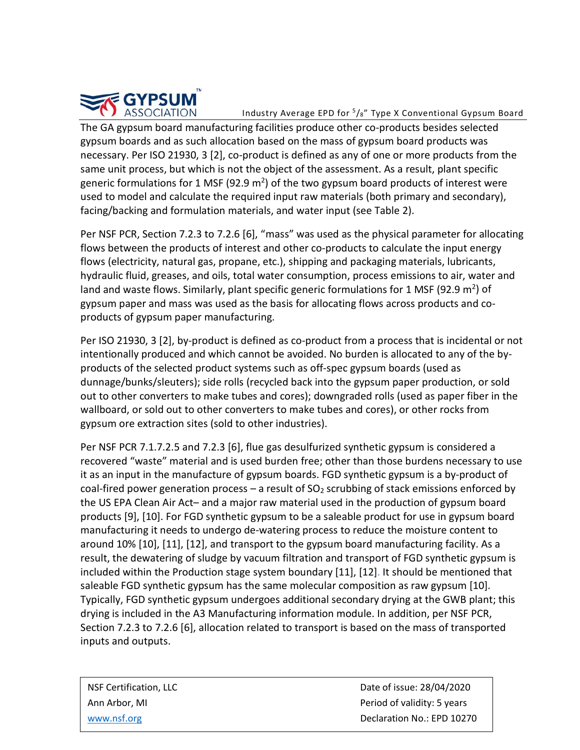

Industry Average EPD for  $5/s''$  Type X Conventional Gypsum Board

The GA gypsum board manufacturing facilities produce other co-products besides selected gypsum boards and as such allocation based on the mass of gypsum board products was necessary. Per ISO 21930, 3 [2], co-product is defined as any of one or more products from the same unit process, but which is not the object of the assessment. As a result, plant specific generic formulations for 1 MSF (92.9  $m<sup>2</sup>$ ) of the two gypsum board products of interest were used to model and calculate the required input raw materials (both primary and secondary), facing/backing and formulation materials, and water input (see Table 2).

Per NSF PCR, Section 7.2.3 to 7.2.6 [6], "mass" was used as the physical parameter for allocating flows between the products of interest and other co-products to calculate the input energy flows (electricity, natural gas, propane, etc.), shipping and packaging materials, lubricants, hydraulic fluid, greases, and oils, total water consumption, process emissions to air, water and land and waste flows. Similarly, plant specific generic formulations for 1 MSF (92.9  $m^2$ ) of gypsum paper and mass was used as the basis for allocating flows across products and coproducts of gypsum paper manufacturing.

Per ISO 21930, 3 [2], by-product is defined as co-product from a process that is incidental or not intentionally produced and which cannot be avoided. No burden is allocated to any of the byproducts of the selected product systems such as off-spec gypsum boards (used as dunnage/bunks/sleuters); side rolls (recycled back into the gypsum paper production, or sold out to other converters to make tubes and cores); downgraded rolls (used as paper fiber in the wallboard, or sold out to other converters to make tubes and cores), or other rocks from gypsum ore extraction sites (sold to other industries).

Per NSF PCR 7.1.7.2.5 and 7.2.3 [6], flue gas desulfurized synthetic gypsum is considered a recovered "waste" material and is used burden free; other than those burdens necessary to use it as an input in the manufacture of gypsum boards. FGD synthetic gypsum is a by-product of coal-fired power generation process – a result of  $SO<sub>2</sub>$  scrubbing of stack emissions enforced by the US EPA Clean Air Act– and a major raw material used in the production of gypsum board products [9], [10]. For FGD synthetic gypsum to be a saleable product for use in gypsum board manufacturing it needs to undergo de-watering process to reduce the moisture content to around 10% [10], [11], [12], and transport to the gypsum board manufacturing facility. As a result, the dewatering of sludge by vacuum filtration and transport of FGD synthetic gypsum is included within the Production stage system boundary [11], [12]. It should be mentioned that saleable FGD synthetic gypsum has the same molecular composition as raw gypsum [10]. Typically, FGD synthetic gypsum undergoes additional secondary drying at the GWB plant; this drying is included in the A3 Manufacturing information module. In addition, per NSF PCR, Section 7.2.3 to 7.2.6 [6], allocation related to transport is based on the mass of transported inputs and outputs.

NSF Certification, LLC and the control of issue: 28/04/2020 Ann Arbor, MI **Period of validity: 5 years** [www.nsf.org](http://www.nsf.org/) **Declaration No.: EPD 10270**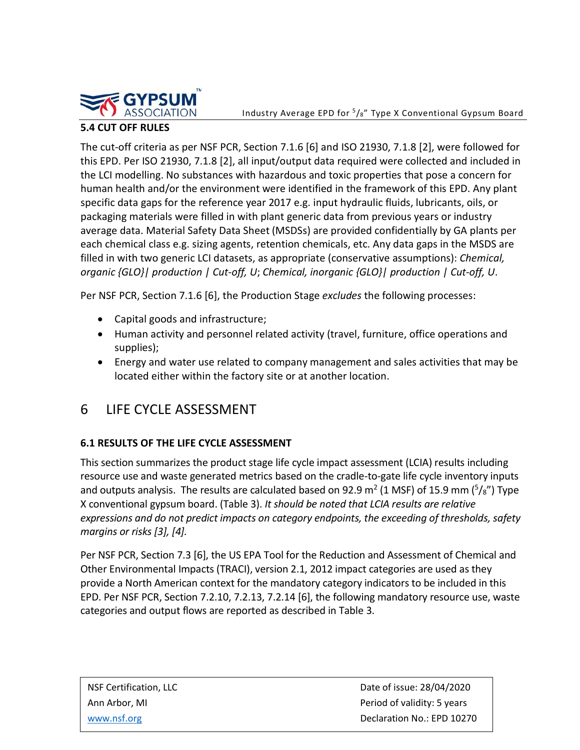

Industry Average EPD for  $\frac{5}{8}$ " Type X Conventional Gypsum Board

#### **5.4 CUT OFF RULES**

The cut-off criteria as per NSF PCR, Section 7.1.6 [6] and ISO 21930, 7.1.8 [2], were followed for this EPD. Per ISO 21930, 7.1.8 [2], all input/output data required were collected and included in the LCI modelling. No substances with hazardous and toxic properties that pose a concern for human health and/or the environment were identified in the framework of this EPD. Any plant specific data gaps for the reference year 2017 e.g. input hydraulic fluids, lubricants, oils, or packaging materials were filled in with plant generic data from previous years or industry average data. Material Safety Data Sheet (MSDSs) are provided confidentially by GA plants per each chemical class e.g. sizing agents, retention chemicals, etc. Any data gaps in the MSDS are filled in with two generic LCI datasets, as appropriate (conservative assumptions): *Chemical, organic {GLO}| production | Cut-off, U*; *Chemical, inorganic {GLO}| production | Cut-off, U*.

Per NSF PCR, Section 7.1.6 [6], the Production Stage *excludes* the following processes:

- Capital goods and infrastructure;
- Human activity and personnel related activity (travel, furniture, office operations and supplies);
- Energy and water use related to company management and sales activities that may be located either within the factory site or at another location.

## 6 LIFE CYCLE ASSESSMENT

#### **6.1 RESULTS OF THE LIFE CYCLE ASSESSMENT**

This section summarizes the product stage life cycle impact assessment (LCIA) results including resource use and waste generated metrics based on the cradle-to-gate life cycle inventory inputs and outputs analysis. The results are calculated based on 92.9 m<sup>2</sup> (1 MSF) of 15.9 mm ( $\frac{5}{8}$ ") Type X conventional gypsum board. (Table 3). *It should be noted that LCIA results are relative expressions and do not predict impacts on category endpoints, the exceeding of thresholds, safety margins or risks [3], [4].*

Per NSF PCR, Section 7.3 [6], the US EPA Tool for the Reduction and Assessment of Chemical and Other Environmental Impacts (TRACI), version 2.1, 2012 impact categories are used as they provide a North American context for the mandatory category indicators to be included in this EPD. Per NSF PCR, Section 7.2.10, 7.2.13, 7.2.14 [6], the following mandatory resource use, waste categories and output flows are reported as described in Table 3.

NSF Certification, LLC and the control of issue: 28/04/2020 Ann Arbor, MI **Period of validity: 5 years** [www.nsf.org](http://www.nsf.org/) **Declaration No.: EPD 10270**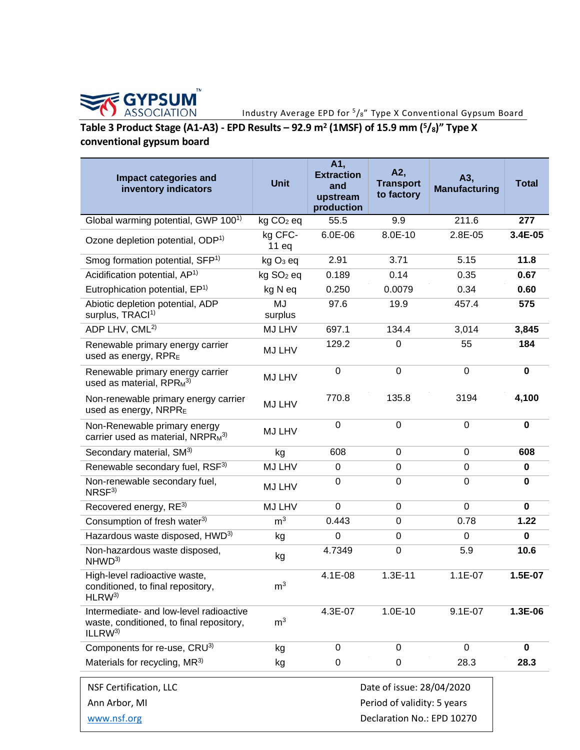

#### Industry Average EPD for 5/8" Type X Conventional Gypsum Board

# **Table 3 Product Stage (A1-A3) - EPD Results – 92.9 m<sup>2</sup> (1MSF) of 15.9 mm (<sup>5</sup>/8<sup>)</sup>" Type X conventional gypsum board**

| Impact categories and<br>inventory indicators                                                             | <b>Unit</b>           | A1,<br><b>Extraction</b><br>and<br>upstream<br>production | A2,<br><b>Transport</b><br>to factory                    | A3,<br><b>Manufacturing</b> | <b>Total</b> |
|-----------------------------------------------------------------------------------------------------------|-----------------------|-----------------------------------------------------------|----------------------------------------------------------|-----------------------------|--------------|
| Global warming potential, GWP 100 <sup>1)</sup>                                                           | $kg CO2$ eq           | 55.5                                                      | 9.9                                                      | 211.6                       | 277          |
| Ozone depletion potential, ODP <sup>1)</sup>                                                              | kg CFC-<br>11eq       | $6.0E-06$                                                 | 8.0E-10                                                  | 2.8E-05                     | 3.4E-05      |
| Smog formation potential, SFP <sup>1)</sup>                                                               | kg O <sub>3</sub> eq  | 2.91                                                      | 3.71                                                     | 5.15                        | 11.8         |
| Acidification potential, AP <sup>1)</sup>                                                                 | kg SO <sub>2</sub> eq | 0.189                                                     | 0.14                                                     | 0.35                        | 0.67         |
| Eutrophication potential, EP <sup>1)</sup>                                                                | kg N eq               | 0.250                                                     | 0.0079                                                   | 0.34                        | 0.60         |
| Abiotic depletion potential, ADP<br>surplus, TRACI <sup>1)</sup>                                          | <b>MJ</b><br>surplus  | 97.6                                                      | 19.9                                                     | 457.4                       | 575          |
| ADP LHV, CML <sup>2)</sup>                                                                                | MJ LHV                | 697.1                                                     | 134.4                                                    | 3,014                       | 3,845        |
| Renewable primary energy carrier<br>used as energy, RPRE                                                  | MJ LHV                | 129.2                                                     | $\mathbf 0$                                              | 55                          | 184          |
| Renewable primary energy carrier<br>used as material, $RPRM^{3)}$                                         | MJ LHV                | $\pmb{0}$                                                 | $\boldsymbol{0}$                                         | $\mathbf 0$                 | $\mathbf 0$  |
| Non-renewable primary energy carrier<br>used as energy, NRPRE                                             | MJ LHV                | 770.8                                                     | 135.8                                                    | 3194                        | 4,100        |
| Non-Renewable primary energy<br>carrier used as material, $NRPR_M^{3}$                                    | MJ LHV                | $\mathbf 0$                                               | $\mathbf 0$                                              | $\mathbf 0$                 | $\mathbf{0}$ |
| Secondary material, SM <sup>3)</sup>                                                                      | kg                    | 608                                                       | $\mathbf 0$                                              | 0                           | 608          |
| Renewable secondary fuel, RSF3)                                                                           | MJ LHV                | 0                                                         | $\boldsymbol{0}$                                         | $\mathbf 0$                 | 0            |
| Non-renewable secondary fuel,<br>NRSF <sup>3</sup>                                                        | MJ LHV                | 0                                                         | $\overline{0}$                                           | $\overline{0}$              | $\bf{0}$     |
| Recovered energy, RE3)                                                                                    | MJ LHV                | $\Omega$                                                  | 0                                                        | $\mathbf 0$                 | 0            |
| Consumption of fresh water <sup>3)</sup>                                                                  | m <sup>3</sup>        | 0.443                                                     | $\mathbf 0$                                              | 0.78                        | 1.22         |
| Hazardous waste disposed, HWD <sup>3)</sup>                                                               | kg                    | 0                                                         | 0                                                        | 0                           | 0            |
| Non-hazardous waste disposed,<br>NHWD <sup>3)</sup>                                                       | kg                    | 4.7349                                                    | $\mathbf 0$                                              | 5.9                         | 10.6         |
| High-level radioactive waste,<br>conditioned, to final repository,<br>HLRW <sup>3</sup>                   | $\mathsf{m}^3$        | 4.1E-08                                                   | $1.3E-11$                                                | $1.1E-07$                   | 1.5E-07      |
| Intermediate- and low-level radioactive<br>waste, conditioned, to final repository,<br>ILLRW <sup>3</sup> | m <sup>3</sup>        | 4.3E-07                                                   | 1.0E-10                                                  | $9.1E-07$                   | 1.3E-06      |
| Components for re-use, CRU3)                                                                              | kg                    | 0                                                         | $\mathbf 0$                                              | $\mathbf 0$                 | 0            |
| Materials for recycling, MR <sup>3)</sup>                                                                 | kg                    | 0                                                         | 0                                                        | 28.3                        | 28.3         |
| <b>NSF Certification, LLC</b><br>Ann Arbor, MI                                                            |                       |                                                           | Date of issue: 28/04/2020<br>Period of validity: 5 years |                             |              |
| www.nsf.org                                                                                               |                       |                                                           | Declaration No.: EPD 10270                               |                             |              |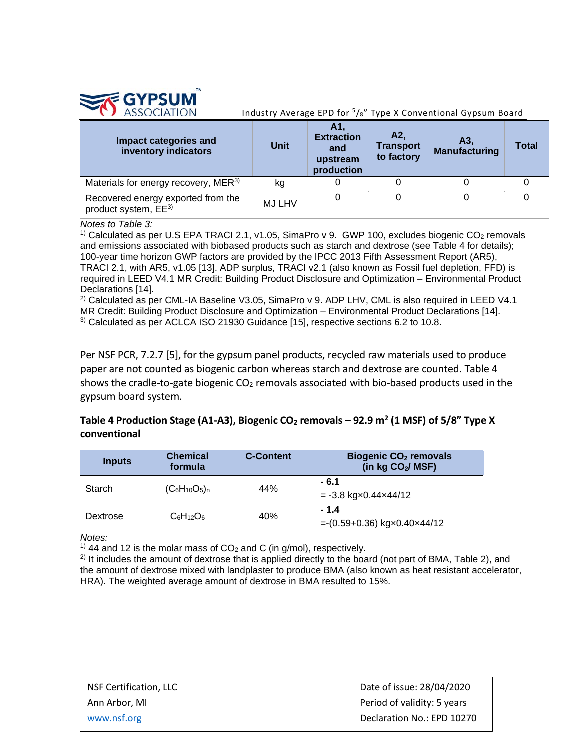

Industry Average EPD for  $\frac{5}{8}$ " Type X Conventional Gypsum Board

| Impact categories and<br>inventory indicators                          | <b>Unit</b>   | A1<br><b>Extraction</b><br>and<br>upstream<br>production | A2,<br><b>Transport</b><br>to factory | Α3.<br><b>Manufacturing</b> | <b>Total</b> |
|------------------------------------------------------------------------|---------------|----------------------------------------------------------|---------------------------------------|-----------------------------|--------------|
| Materials for energy recovery, MER <sup>3)</sup>                       | kg            |                                                          |                                       |                             |              |
| Recovered energy exported from the<br>product system, EE <sup>3)</sup> | <b>MJ LHV</b> |                                                          |                                       |                             |              |

*Notes to Table 3:* 

<sup>1)</sup> Calculated as per U.S EPA TRACI 2.1, v1.05, SimaPro v 9. GWP 100, excludes biogenic CO<sub>2</sub> removals and emissions associated with biobased products such as starch and dextrose (see Table 4 for details); 100-year time horizon GWP factors are provided by the IPCC 2013 Fifth Assessment Report (AR5), TRACI 2.1, with AR5, v1.05 [13]. ADP surplus, TRACI v2.1 (also known as Fossil fuel depletion, FFD) is required in LEED V4.1 MR Credit: Building Product Disclosure and Optimization – Environmental Product Declarations [14].<br><sup>2)</sup> Calculated as per CML-IA Baseline V3.05, SimaPro v 9. ADP LHV, CML is also required in LEED V4.1

MR Credit: Building Product Disclosure and Optimization – Environmental Product Declarations [14]. 3) Calculated as per ACLCA ISO 21930 Guidance [15], respective sections 6.2 to 10.8.

Per NSF PCR, 7.2.7 [5], for the gypsum panel products, recycled raw materials used to produce paper are not counted as biogenic carbon whereas starch and dextrose are counted. Table 4 shows the cradle-to-gate biogenic  $CO<sub>2</sub>$  removals associated with bio-based products used in the gypsum board system.

#### Table 4 Production Stage (A1-A3), Biogenic CO<sub>2</sub> removals – 92.9 m<sup>2</sup> (1 MSF) of 5/8" Type X **conventional**

| <b>Inputs</b> | <b>Chemical</b><br>formula | <b>C-Content</b> | Biogenic CO <sub>2</sub> removals<br>(in kg CO <sub>2</sub> / MSF) |
|---------------|----------------------------|------------------|--------------------------------------------------------------------|
| Starch        | $(C_6H_{10}O_5)_n$         | 44%              | $-6.1$<br>$= -3.8$ kg $\times$ 0.44 $\times$ 44/12                 |
| Dextrose      | $C_6H_{12}O_6$             | 40%              | $-1.4$<br>$= (0.59+0.36)$ kg $\times$ 0.40 $\times$ 44/12          |

*Notes:*

<sup>1)</sup> 44 and 12 is the molar mass of  $CO<sub>2</sub>$  and C (in g/mol), respectively.

<sup>2)</sup> It includes the amount of dextrose that is applied directly to the board (not part of BMA, Table 2), and the amount of dextrose mixed with landplaster to produce BMA (also known as heat resistant accelerator, HRA). The weighted average amount of dextrose in BMA resulted to 15%.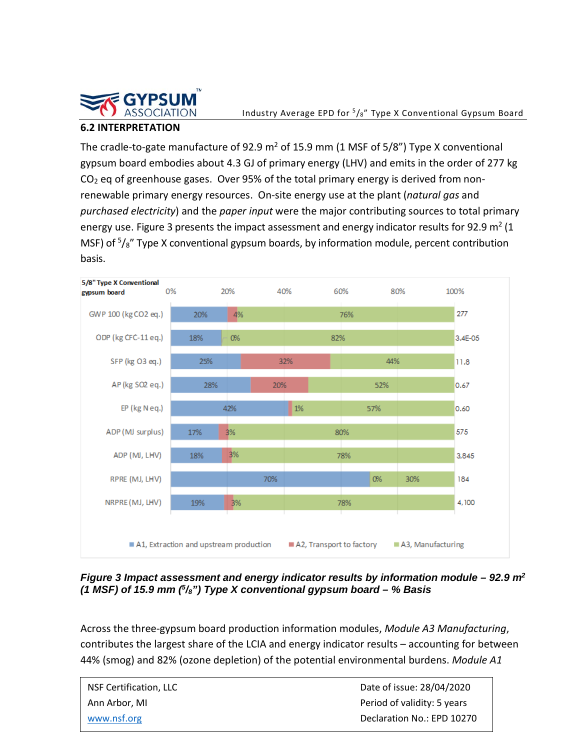

#### **6.2 INTERPRETATION**

The cradle-to-gate manufacture of 92.9  $m^2$  of 15.9 mm (1 MSF of 5/8") Type X conventional gypsum board embodies about 4.3 GJ of primary energy (LHV) and emits in the order of 277 kg  $CO<sub>2</sub>$  eq of greenhouse gases. Over 95% of the total primary energy is derived from nonrenewable primary energy resources. On-site energy use at the plant (*natural gas* and *purchased electricity*) and the *paper input* were the major contributing sources to total primary energy use. Figure 3 presents the impact assessment and energy indicator results for 92.9  $m^2$  (1 MSF) of <sup>5</sup>/<sub>8</sub>" Type X conventional gypsum boards, by information module, percent contribution basis.



*Figure 3 Impact assessment and energy indicator results by information module – 92.9 m2 (1 MSF) of 15.9 mm (5/8") Type X conventional gypsum board – % Basis*

Across the three-gypsum board production information modules, *Module A3 Manufacturing*, contributes the largest share of the LCIA and energy indicator results – accounting for between 44% (smog) and 82% (ozone depletion) of the potential environmental burdens. *Module A1* 

| NSF Certification, LLC | Date of issue: 28/04/2020   |
|------------------------|-----------------------------|
| Ann Arbor. MI          | Period of validity: 5 years |
| www.nsf.org            | Declaration No.: EPD 10270  |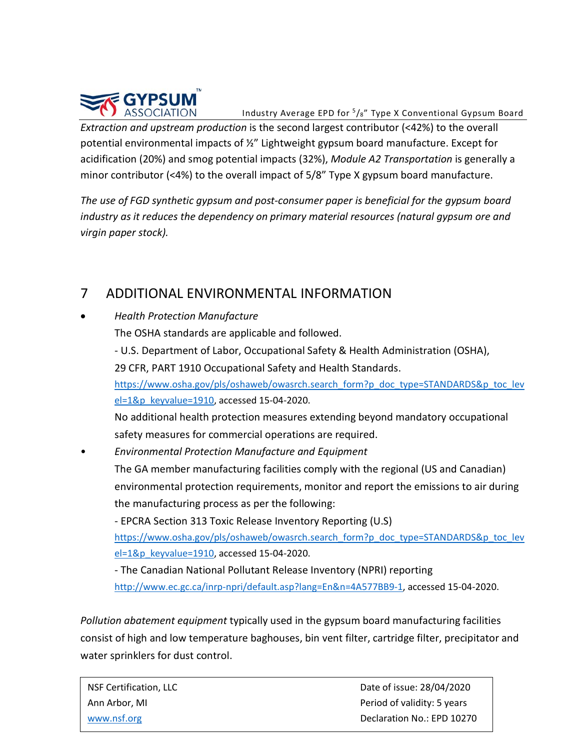

Industry Average EPD for 5/8" Type X Conventional Gypsum Board

*Extraction and upstream production* is the second largest contributor (<42%) to the overall potential environmental impacts of ½" Lightweight gypsum board manufacture. Except for acidification (20%) and smog potential impacts (32%), *Module A2 Transportation* is generally a minor contributor (<4%) to the overall impact of 5/8" Type X gypsum board manufacture.

*The use of FGD synthetic gypsum and post-consumer paper is beneficial for the gypsum board industry as it reduces the dependency on primary material resources (natural gypsum ore and virgin paper stock).* 

## 7 ADDITIONAL ENVIRONMENTAL INFORMATION

| 7         | ADDITIONAL ENVIRONMENTAL INFORMATION                                                  |
|-----------|---------------------------------------------------------------------------------------|
| $\bullet$ | <b>Health Protection Manufacture</b>                                                  |
|           | The OSHA standards are applicable and followed.                                       |
|           | - U.S. Department of Labor, Occupational Safety & Health Administration (OSHA),       |
|           | 29 CFR, PART 1910 Occupational Safety and Health Standards.                           |
|           | https://www.osha.gov/pls/oshaweb/owasrch.search form?p doc type=STANDARDS&p toc lev   |
|           | el=1&p keyvalue=1910, accessed 15-04-2020.                                            |
|           | No additional health protection measures extending beyond mandatory occupational      |
|           | safety measures for commercial operations are required.                               |
|           | <b>Environmental Protection Manufacture and Equipment</b>                             |
|           | The GA member manufacturing facilities comply with the regional (US and Canadian)     |
|           | environmental protection requirements, monitor and report the emissions to air during |
|           | the manufacturing process as per the following:                                       |
|           | - EPCRA Section 313 Toxic Release Inventory Reporting (U.S)                           |
|           | https://www.osha.gov/pls/oshaweb/owasrch.search form?p doc type=STANDARDS&p toc lev   |
|           | $el=1$ &p keyvalue=1910, accessed 15-04-2020.                                         |
|           | - The Canadian National Pollutant Release Inventory (NPRI) reporting                  |
|           | http://www.ec.gc.ca/inrp-npri/default.asp?lang=En&n=4A577BB9-1, accessed 15-04-2020.  |

*Pollution abatement equipment* typically used in the gypsum board manufacturing facilities consist of high and low temperature baghouses, bin vent filter, cartridge filter, precipitator and water sprinklers for dust control.

| NSF Certification, LLC | Date of issue: 28/04/2020   |  |  |
|------------------------|-----------------------------|--|--|
| Ann Arbor. MI          | Period of validity: 5 years |  |  |
| www.nsf.org            | Declaration No.: EPD 10270  |  |  |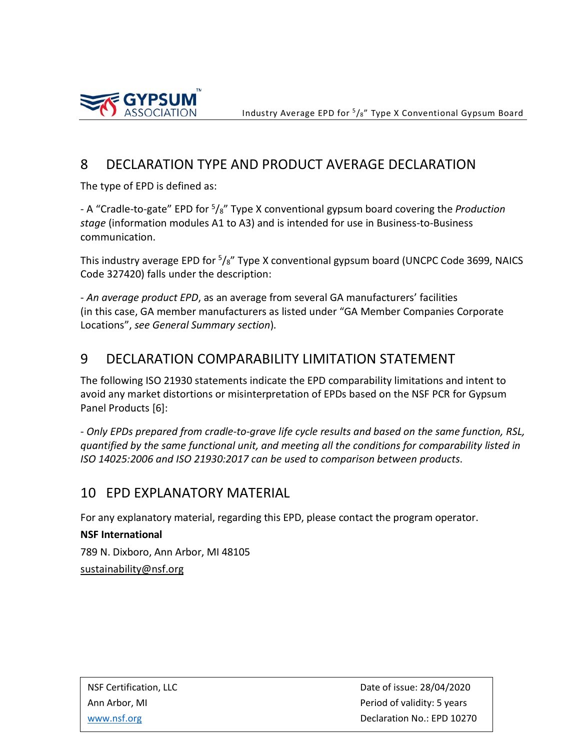



## 8 DECLARATION TYPE AND PRODUCT AVERAGE DECLARATION

The type of EPD is defined as:

- A "Cradle-to-gate" EPD for 5/8" Type X conventional gypsum board covering the *Production stage* (information modules A1 to A3) and is intended for use in Business-to-Business communication.

This industry average EPD for <sup>5</sup>/<sub>8</sub>" Type X conventional gypsum board (UNCPC Code 3699, NAICS Code 327420) falls under the description:

- *An average product EPD*, as an average from several GA manufacturers' facilities (in this case, GA member manufacturers as listed under "GA Member Companies Corporate Locations", *see General Summary section*).

## 9 DECLARATION COMPARABILITY LIMITATION STATEMENT

The following ISO 21930 statements indicate the EPD comparability limitations and intent to avoid any market distortions or misinterpretation of EPDs based on the NSF PCR for Gypsum Panel Products [6]:

- *Only EPDs prepared from cradle-to-grave life cycle results and based on the same function, RSL, quantified by the same functional unit, and meeting all the conditions for comparability listed in ISO 14025:2006 and ISO 21930:2017 can be used to comparison between products*.

## 10 EPD EXPLANATORY MATERIAL

For any explanatory material, regarding this EPD, please contact the program operator.

**NSF International** 789 N. Dixboro, Ann Arbor, MI 48105 [sustainability@nsf.org](mailto:sustainability@nsf.org)

NSF Certification, LLC and the control of the Date of issue: 28/04/2020 Ann Arbor, MI **Period of validity: 5 years Period of validity: 5 years** [www.nsf.org](http://www.nsf.org/) **Declaration No.: EPD 10270**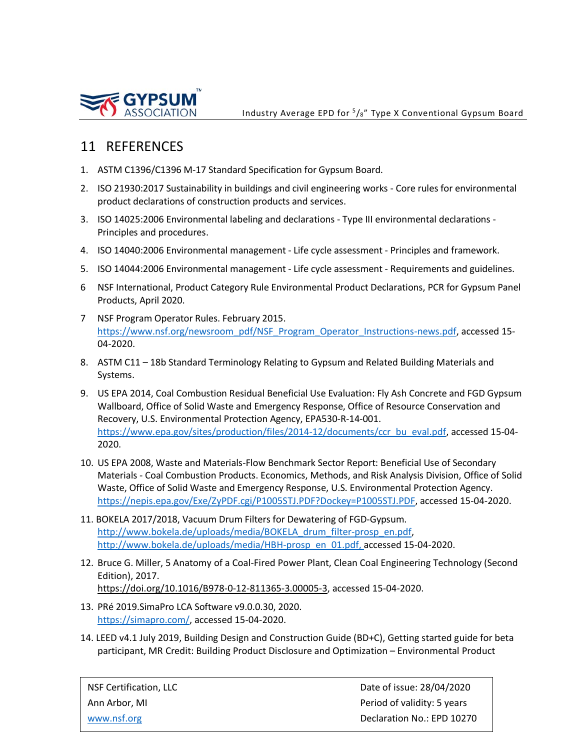

## 11 REFERENCES

- 1. ASTM C1396/C1396 M-17 Standard Specification for Gypsum Board.
- 2. ISO 21930:2017 Sustainability in buildings and civil engineering works Core rules for environmental product declarations of construction products and services.
- 3. ISO 14025:2006 Environmental labeling and declarations Type III environmental declarations Principles and procedures.
- 4. ISO 14040:2006 Environmental management Life cycle assessment Principles and framework.
- 5. ISO 14044:2006 Environmental management Life cycle assessment Requirements and guidelines.
- 6 NSF International, Product Category Rule Environmental Product Declarations, PCR for Gypsum Panel Products, April 2020.
- 7 NSF Program Operator Rules. February 2015. [https://www.nsf.org/newsroom\\_pdf/NSF\\_Program\\_Operator\\_Instructions-news.pdf,](https://www.nsf.org/newsroom_pdf/NSF_Program_Operator_Instructions-news.pdf) accessed 15-04-2020.
- 8. ASTM C11 18b Standard Terminology Relating to Gypsum and Related Building Materials and Systems.
- 9. US EPA 2014, Coal Combustion Residual Beneficial Use Evaluation: Fly Ash Concrete and FGD Gypsum Wallboard, Office of Solid Waste and Emergency Response, Office of Resource Conservation and Recovery, U.S. Environmental Protection Agency, EPA530-R-14-001. [https://www.epa.gov/sites/production/files/2014-12/documents/ccr\\_bu\\_eval.pdf,](https://www.epa.gov/sites/production/files/2014-12/documents/ccr_bu_eval.pdf) accessed 15-04-2020.
- 10. US EPA 2008, Waste and Materials-Flow Benchmark Sector Report: Beneficial Use of Secondary Materials - Coal Combustion Products. Economics, Methods, and Risk Analysis Division, Office of Solid Waste, Office of Solid Waste and Emergency Response, U.S. Environmental Protection Agency. [https://nepis.epa.gov/Exe/ZyPDF.cgi/P1005STJ.PDF?Dockey=P1005STJ.PDF,](https://nepis.epa.gov/Exe/ZyPDF.cgi/P1005STJ.PDF?Dockey=P1005STJ.PDF) accessed 15-04-2020.
- 11. BOKELA 2017/2018, Vacuum Drum Filters for Dewatering of FGD-Gypsum. [http://www.bokela.de/uploads/media/BOKELA\\_drum\\_filter-prosp\\_en.pdf,](http://www.bokela.de/uploads/media/BOKELA_drum_filter-prosp_en.pdf) [http://www.bokela.de/uploads/media/HBH-prosp\\_en\\_01.pdf,](http://www.bokela.de/uploads/media/HBH-prosp_en_01.pdf) accessed 15-04-2020.
- 12. Bruce G. Miller, 5 Anatomy of a Coal-Fired Power Plant, Clean Coal Engineering Technology (Second Edition), 2017. [https://doi.org/10.1016/B978-0-12-811365-3.00005-3,](https://doi.org/10.1016/B978-0-12-811365-3.00005-3) accessed 15-04-2020.
- 13. PRé 2019.SimaPro LCA Software v9.0.0.30, 2020. [https://simapro.com/,](https://simapro.com/) accessed 15-04-2020.
- 14. LEED v4.1 July 2019, Building Design and Construction Guide (BD+C), Getting started guide for beta participant, MR Credit: Building Product Disclosure and Optimization – Environmental Product

NSF Certification, LLC and the control of the Date of issue: 28/04/2020 Ann Arbor, MI **Period of validity: 5 years Period of validity: 5 years** [www.nsf.org](http://www.nsf.org/) **Declaration No.: EPD 10270**